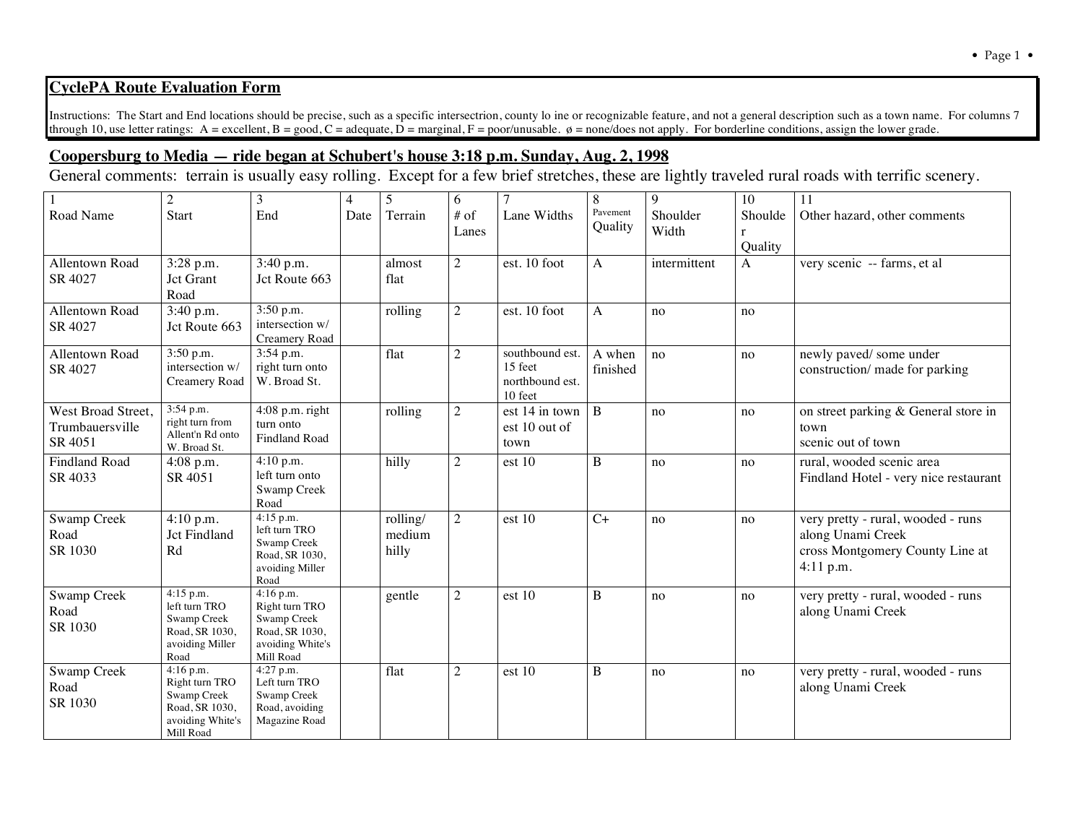## **CyclePA Route Evaluation Form**

Instructions: The Start and End locations should be precise, such as a specific intersectrion, county lo ine or recognizable feature, and not a general description such as a town name. For columns 7 through 10, use letter ratings: A = excellent, B = good, C = adequate,  $\overrightarrow{D}$  = marginal, F = poor/unusable.  $\phi$  = none/does not apply. For borderline conditions, assign the lower grade.

## **Coopersburg to Media — ride began at Schubert's house 3:18 p.m. Sunday, Aug. 2, 1998**

General comments: terrain is usually easy rolling. Except for a few brief stretches, these are lightly traveled rural roads with terrific scenery.

|                      | $\overline{2}$                | 3                            | 4    | 5        | 6              | $\overline{7}$  | 8            | 9            | 10           | 11                                    |
|----------------------|-------------------------------|------------------------------|------|----------|----------------|-----------------|--------------|--------------|--------------|---------------------------------------|
| Road Name            | Start                         | End                          | Date | Terrain  | $#$ of         | Lane Widths     | Pavement     | Shoulder     | Shoulde      | Other hazard, other comments          |
|                      |                               |                              |      |          | Lanes          |                 | Quality      | Width        | $\mathbf{r}$ |                                       |
|                      |                               |                              |      |          |                |                 |              |              | Quality      |                                       |
|                      |                               |                              |      |          |                |                 |              |              |              |                                       |
| Allentown Road       | 3:28 p.m.                     | 3:40 p.m.                    |      | almost   | $\overline{2}$ | est. 10 foot    | $\mathbf{A}$ | intermittent | A            | very scenic -- farms, et al           |
| SR 4027              | Jct Grant                     | Jct Route 663                |      | flat     |                |                 |              |              |              |                                       |
|                      | Road                          |                              |      |          |                |                 |              |              |              |                                       |
| Allentown Road       | 3:40 p.m.                     | 3:50 p.m.                    |      | rolling  | $\overline{2}$ | est. 10 foot    | $\mathbf{A}$ | no           | no           |                                       |
| SR 4027              | Jct Route 663                 | intersection w/              |      |          |                |                 |              |              |              |                                       |
|                      |                               | Creamery Road                |      |          |                |                 |              |              |              |                                       |
| Allentown Road       | 3:50 p.m.                     | 3:54 p.m.                    |      | flat     | $\overline{2}$ | southbound est. | A when       | no           | no           | newly paved/ some under               |
| SR 4027              | intersection w/               | right turn onto              |      |          |                | 15 feet         | finished     |              |              | construction/ made for parking        |
|                      | Creamery Road                 | W. Broad St.                 |      |          |                | northbound est. |              |              |              |                                       |
|                      |                               |                              |      |          |                | 10 feet         |              |              |              |                                       |
| West Broad Street,   | 3:54 p.m.                     | $4:08$ p.m. right            |      | rolling  | $\overline{2}$ | est 14 in town  | $\, {\bf B}$ | no           | no           | on street parking & General store in  |
| Trumbauersville      | right turn from               | turn onto                    |      |          |                | est 10 out of   |              |              |              | town                                  |
| SR 4051              | Allent'n Rd onto              | <b>Findland Road</b>         |      |          |                | town            |              |              |              | scenic out of town                    |
|                      | W. Broad St.                  |                              |      |          |                |                 |              |              |              |                                       |
| <b>Findland Road</b> | 4:08 p.m.                     | 4:10 p.m.                    |      | hilly    | $\overline{2}$ | est 10          | B            | no           | no           | rural, wooded scenic area             |
| SR 4033              | SR 4051                       | left turn onto               |      |          |                |                 |              |              |              | Findland Hotel - very nice restaurant |
|                      |                               | Swamp Creek                  |      |          |                |                 |              |              |              |                                       |
|                      |                               | Road                         |      |          |                |                 |              |              |              |                                       |
| Swamp Creek          | 4:10 p.m.                     | $4:15$ p.m.                  |      | rolling/ | $\overline{2}$ | est 10          | $C+$         | no           | no           | very pretty - rural, wooded - runs    |
| Road                 | Jct Findland                  | left turn TRO<br>Swamp Creek |      | medium   |                |                 |              |              |              | along Unami Creek                     |
| SR 1030              | Rd                            | Road, SR 1030,               |      | hilly    |                |                 |              |              |              | cross Montgomery County Line at       |
|                      |                               | avoiding Miller              |      |          |                |                 |              |              |              | 4:11 p.m.                             |
|                      |                               | Road                         |      |          |                |                 |              |              |              |                                       |
| <b>Swamp Creek</b>   | $4:15$ p.m.                   | $4:16$ p.m.                  |      | gentle   | $\overline{2}$ | est 10          | B            | no           | no           | very pretty - rural, wooded - runs    |
| Road                 | left turn TRO                 | Right turn TRO               |      |          |                |                 |              |              |              | along Unami Creek                     |
|                      | Swamp Creek                   | Swamp Creek                  |      |          |                |                 |              |              |              |                                       |
| SR 1030              | Road, SR 1030,                | Road, SR 1030,               |      |          |                |                 |              |              |              |                                       |
|                      | avoiding Miller               | avoiding White's             |      |          |                |                 |              |              |              |                                       |
|                      | Road                          | Mill Road                    |      |          |                |                 |              |              |              |                                       |
| Swamp Creek          | $4:16$ p.m.<br>Right turn TRO | 4:27 p.m.<br>Left turn TRO   |      | flat     | $\overline{2}$ | est 10          | B            | no           | no           | very pretty - rural, wooded - runs    |
| Road                 | Swamp Creek                   | Swamp Creek                  |      |          |                |                 |              |              |              | along Unami Creek                     |
| SR 1030              | Road, SR 1030,                | Road, avoiding               |      |          |                |                 |              |              |              |                                       |
|                      | avoiding White's              | Magazine Road                |      |          |                |                 |              |              |              |                                       |
|                      | Mill Road                     |                              |      |          |                |                 |              |              |              |                                       |
|                      |                               |                              |      |          |                |                 |              |              |              |                                       |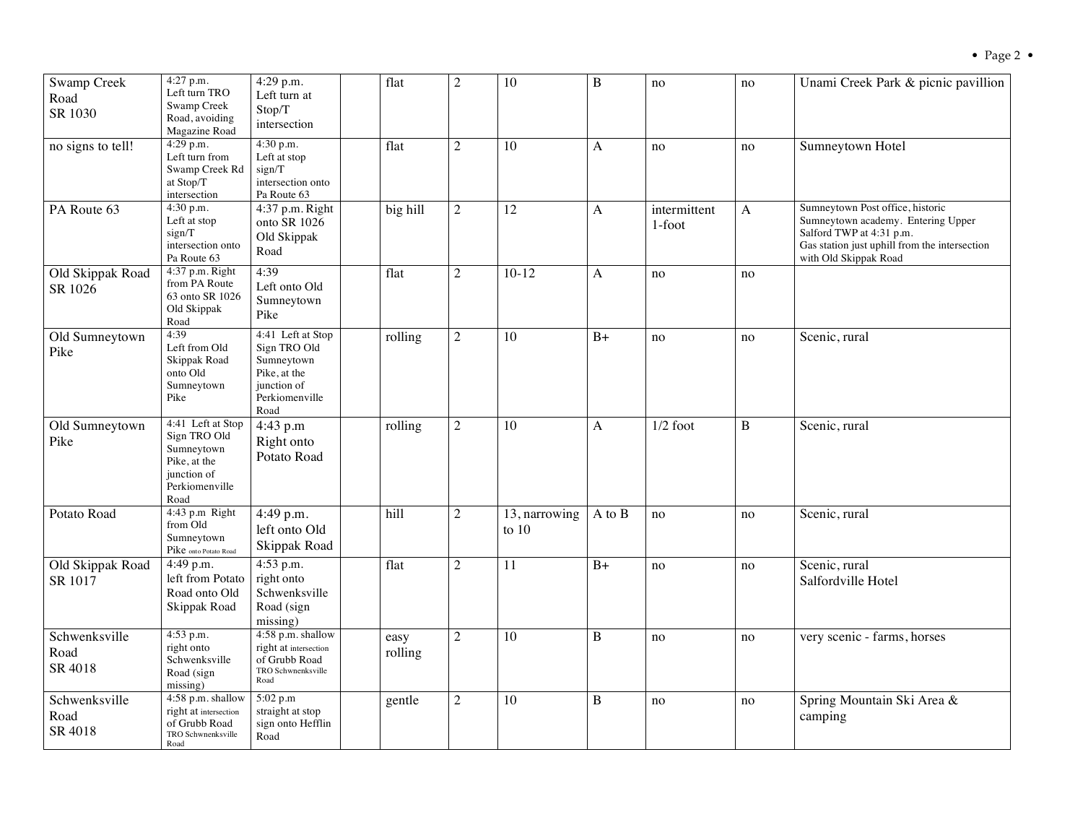| <b>Swamp Creek</b><br>Road<br>SR 1030 | 4:27 p.m.<br>Left turn TRO<br>Swamp Creek<br>Road, avoiding<br>Magazine Road                             | $4:29$ p.m.<br>Left turn at<br>Stop/T<br>intersection                                                    | flat            | $\overline{2}$ | 10                       | B            | no                     | no | Unami Creek Park & picnic pavillion                                                                                                                                          |
|---------------------------------------|----------------------------------------------------------------------------------------------------------|----------------------------------------------------------------------------------------------------------|-----------------|----------------|--------------------------|--------------|------------------------|----|------------------------------------------------------------------------------------------------------------------------------------------------------------------------------|
| no signs to tell!                     | 4:29 p.m.<br>Left turn from<br>Swamp Creek Rd<br>at Stop/T<br>intersection                               | 4:30 p.m.<br>Left at stop<br>sign/T<br>intersection onto<br>Pa Route 63                                  | flat            | $\overline{2}$ | 10                       | A            | no                     | no | Sumneytown Hotel                                                                                                                                                             |
| PA Route 63                           | 4:30 p.m.<br>Left at stop<br>sign/T<br>intersection onto<br>Pa Route 63                                  | 4:37 p.m. Right<br>onto SR 1026<br>Old Skippak<br>Road                                                   | big hill        | $\overline{2}$ | 12                       | A            | intermittent<br>1-foot | A  | Sumneytown Post office, historic<br>Sumneytown academy. Entering Upper<br>Salford TWP at 4:31 p.m.<br>Gas station just uphill from the intersection<br>with Old Skippak Road |
| Old Skippak Road<br>SR 1026           | 4:37 p.m. Right<br>from PA Route<br>63 onto SR 1026<br>Old Skippak<br>Road                               | 4:39<br>Left onto Old<br>Sumneytown<br>Pike                                                              | flat            | $\overline{2}$ | $10 - 12$                | A            | no                     | no |                                                                                                                                                                              |
| Old Sumneytown<br>Pike                | 4:39<br>Left from Old<br>Skippak Road<br>onto Old<br>Sumneytown<br>Pike                                  | 4:41 Left at Stop<br>Sign TRO Old<br>Sumneytown<br>Pike, at the<br>junction of<br>Perkiomenville<br>Road | rolling         | $\overline{2}$ | 10                       | $B+$         | no                     | no | Scenic, rural                                                                                                                                                                |
| Old Sumneytown<br>Pike                | 4:41 Left at Stop<br>Sign TRO Old<br>Sumneytown<br>Pike, at the<br>junction of<br>Perkiomenville<br>Road | 4:43 p.m<br>Right onto<br>Potato Road                                                                    | rolling         | $\overline{2}$ | 10                       | $\mathsf{A}$ | $1/2$ foot             | B  | Scenic, rural                                                                                                                                                                |
| Potato Road                           | 4:43 p.m Right<br>from Old<br>Sumneytown<br>Pike onto Potato Road                                        | 4:49 p.m.<br>left onto Old<br>Skippak Road                                                               | hill            | $\overline{2}$ | 13, narrowing<br>to $10$ | $A$ to $B$   | no                     | no | Scenic, rural                                                                                                                                                                |
| Old Skippak Road<br>SR 1017           | 4:49 p.m.<br>left from Potato<br>Road onto Old<br>Skippak Road                                           | 4:53 p.m.<br>right onto<br>Schwenksville<br>Road (sign<br>missing)                                       | flat            | $\overline{c}$ | 11                       | $B+$         | no                     | no | Scenic, rural<br>Salfordville Hotel                                                                                                                                          |
| Schwenksville<br>Road<br>SR 4018      | 4:53 p.m.<br>right onto<br>Schwenksville<br>Road (sign<br>missing)                                       | 4:58 p.m. shallow<br>right at intersection<br>of Grubb Road<br>TRO Schwnenksville<br>Road                | easy<br>rolling | $\overline{2}$ | 10                       | $\, {\bf B}$ | no                     | no | very scenic - farms, horses                                                                                                                                                  |
| Schwenksville<br>Road<br>SR 4018      | 4:58 p.m. shallow<br>right at intersection<br>of Grubb Road<br>TRO Schwnenksville<br>Road                | 5:02 p.m<br>straight at stop<br>sign onto Hefflin<br>Road                                                | gentle          | $\overline{c}$ | 10                       | B            | no                     | no | Spring Mountain Ski Area &<br>camping                                                                                                                                        |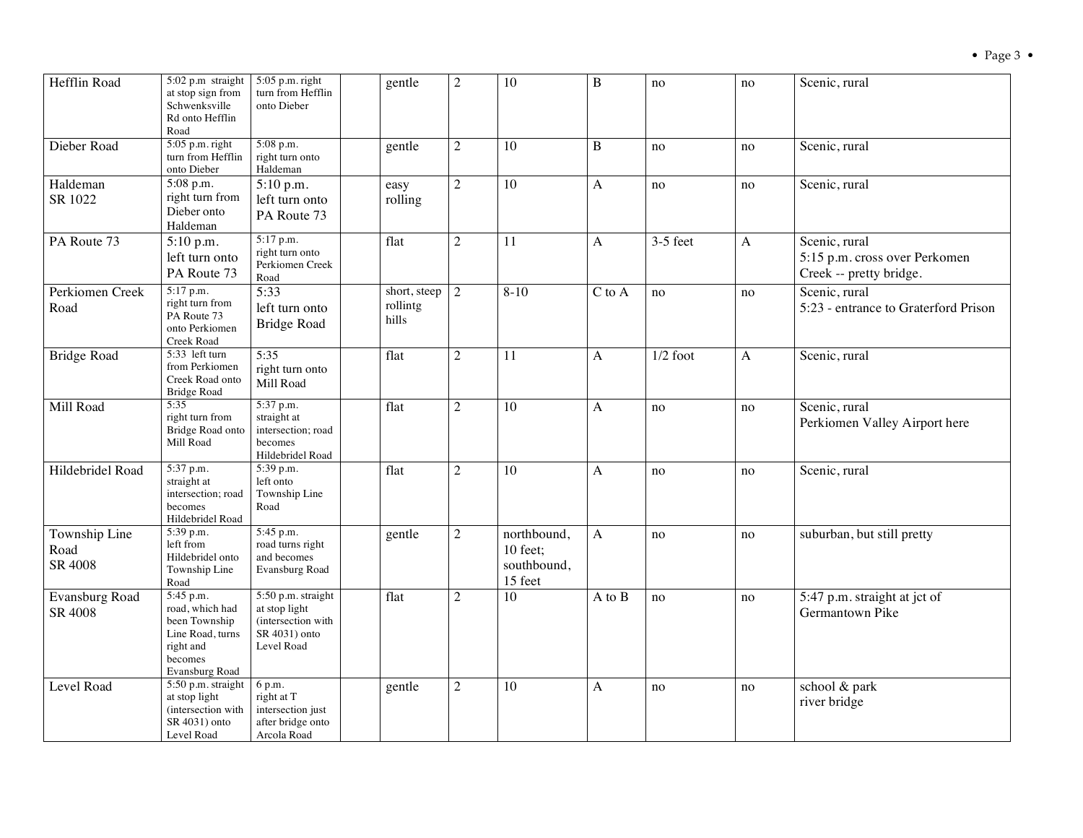| Hefflin Road                     | 5:02 p.m straight<br>at stop sign from<br>Schwenksville<br>Rd onto Hefflin<br>Road                          | 5:05 p.m. right<br>turn from Hefflin<br>onto Dieber                                      | gentle                            | $\overline{2}$ | 10                                                | $\bf{B}$     | no         | no           | Scenic, rural                                                             |
|----------------------------------|-------------------------------------------------------------------------------------------------------------|------------------------------------------------------------------------------------------|-----------------------------------|----------------|---------------------------------------------------|--------------|------------|--------------|---------------------------------------------------------------------------|
| Dieber Road                      | $5:05$ p.m. right<br>turn from Hefflin<br>onto Dieber                                                       | 5:08 p.m.<br>right turn onto<br>Haldeman                                                 | gentle                            | $\overline{2}$ | 10                                                | B            | no         | no           | Scenic, rural                                                             |
| Haldeman<br>SR 1022              | 5:08 p.m.<br>right turn from<br>Dieber onto<br>Haldeman                                                     | 5:10 p.m.<br>left turn onto<br>PA Route 73                                               | easy<br>rolling                   | $\overline{2}$ | 10                                                | A            | no         | no           | Scenic, rural                                                             |
| PA Route 73                      | 5:10 p.m.<br>left turn onto<br>PA Route 73                                                                  | 5:17 p.m.<br>right turn onto<br>Perkiomen Creek<br>Road                                  | flat                              | $\overline{2}$ | 11                                                | A            | $3-5$ feet | $\mathbf{A}$ | Scenic, rural<br>5:15 p.m. cross over Perkomen<br>Creek -- pretty bridge. |
| Perkiomen Creek<br>Road          | 5:17 p.m.<br>right turn from<br>PA Route 73<br>onto Perkiomen<br>Creek Road                                 | 5:33<br>left turn onto<br><b>Bridge Road</b>                                             | short, steep<br>rollintg<br>hills | $\sqrt{2}$     | $8-10$                                            | $C$ to $A$   | no         | no           | Scenic, rural<br>5:23 - entrance to Graterford Prison                     |
| <b>Bridge Road</b>               | 5:33 left turn<br>from Perkiomen<br>Creek Road onto<br><b>Bridge Road</b>                                   | 5:35<br>right turn onto<br>Mill Road                                                     | flat                              | $\overline{c}$ | 11                                                | A            | $1/2$ foot | A            | Scenic, rural                                                             |
| Mill Road                        | 5:35<br>right turn from<br>Bridge Road onto<br>Mill Road                                                    | 5:37 p.m.<br>straight at<br>intersection; road<br>becomes<br>Hildebridel Road            | flat                              | $\overline{2}$ | 10                                                | A            | no         | no           | Scenic, rural<br>Perkiomen Valley Airport here                            |
| Hildebridel Road                 | 5:37 p.m.<br>straight at<br>intersection; road<br>becomes<br>Hildebridel Road                               | 5:39 p.m.<br>left onto<br>Township Line<br>Road                                          | flat                              | $\overline{2}$ | 10                                                | $\mathbf{A}$ | no         | no           | Scenic, rural                                                             |
| Township Line<br>Road<br>SR 4008 | 5:39 p.m.<br>left from<br>Hildebridel onto<br>Township Line<br>Road                                         | 5:45 p.m.<br>road turns right<br>and becomes<br>Evansburg Road                           | gentle                            | $\overline{c}$ | northbound,<br>10 feet;<br>southbound,<br>15 feet | A            | no         | no           | suburban, but still pretty                                                |
| <b>Evansburg Road</b><br>SR 4008 | 5:45 p.m.<br>road, which had<br>been Township<br>Line Road, turns<br>right and<br>becomes<br>Evansburg Road | 5:50 p.m. straight<br>at stop light<br>(intersection with<br>SR 4031) onto<br>Level Road | flat                              | $\overline{2}$ | 10                                                | A to B       | no         | no           | 5:47 p.m. straight at jct of<br>Germantown Pike                           |
| Level Road                       | 5:50 p.m. straight<br>at stop light<br>(intersection with<br>SR 4031) onto<br>Level Road                    | 6 p.m.<br>right at T<br>intersection just<br>after bridge onto<br>Arcola Road            | gentle                            | $\overline{2}$ | 10                                                | A            | no         | no           | school & park<br>river bridge                                             |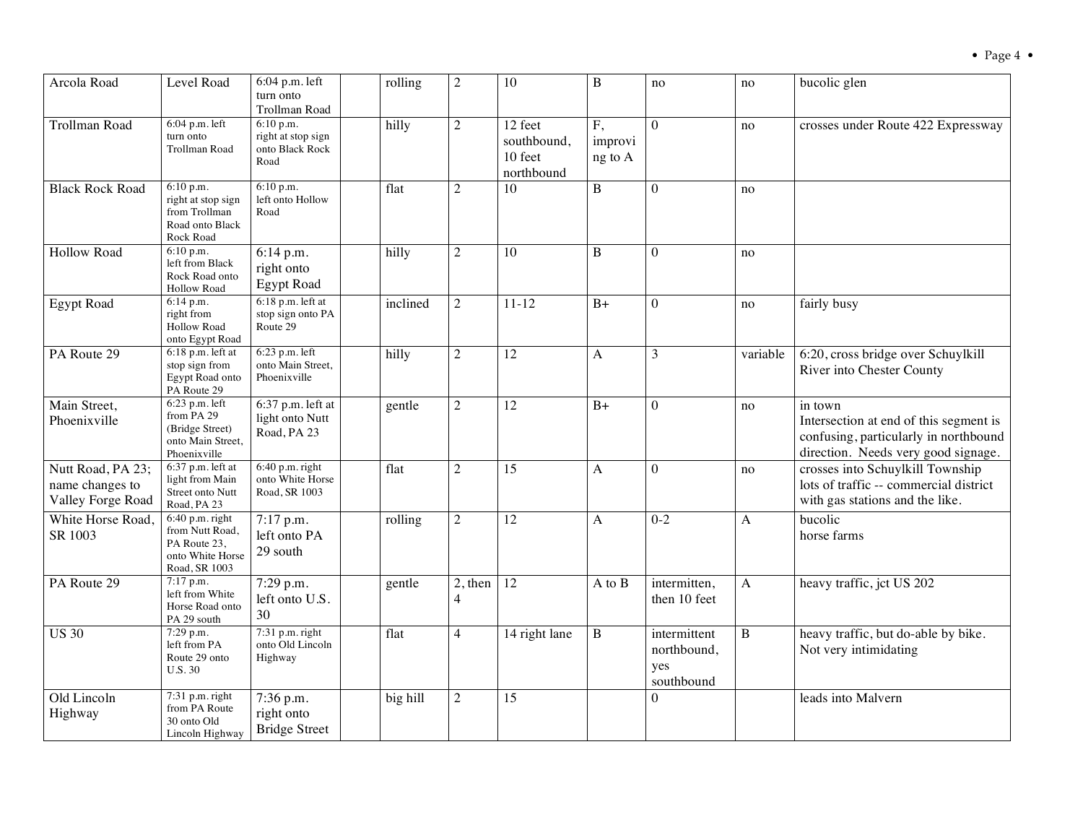| Arcola Road                                               | Level Road                                                                                | $6:04$ p.m. left<br>turn onto<br>Trollman Road             | rolling  | 2                           | 10                                              | B                        | no                                               | no       | bucolic glen                                                                                                                      |
|-----------------------------------------------------------|-------------------------------------------------------------------------------------------|------------------------------------------------------------|----------|-----------------------------|-------------------------------------------------|--------------------------|--------------------------------------------------|----------|-----------------------------------------------------------------------------------------------------------------------------------|
| Trollman Road                                             | $6:04$ p.m. left<br>turn onto<br>Trollman Road                                            | 6:10 p.m.<br>right at stop sign<br>onto Black Rock<br>Road | hilly    | $\overline{2}$              | 12 feet<br>southbound,<br>10 feet<br>northbound | F,<br>improvi<br>ng to A | $\theta$                                         | no       | crosses under Route 422 Expressway                                                                                                |
| <b>Black Rock Road</b>                                    | 6:10 p.m.<br>right at stop sign<br>from Trollman<br>Road onto Black<br>Rock Road          | 6:10 p.m.<br>left onto Hollow<br>Road                      | flat     | $\overline{2}$              | 10                                              | $\bf{B}$                 | $\overline{0}$                                   | no       |                                                                                                                                   |
| <b>Hollow Road</b>                                        | 6:10 p.m.<br>left from Black<br>Rock Road onto<br><b>Hollow Road</b>                      | 6:14 p.m.<br>right onto<br><b>Egypt Road</b>               | hilly    | $\overline{2}$              | 10                                              | $\bf{B}$                 | $\Omega$                                         | no       |                                                                                                                                   |
| <b>Egypt Road</b>                                         | 6:14 p.m.<br>right from<br><b>Hollow Road</b><br>onto Egypt Road                          | $6:18$ p.m. left at<br>stop sign onto PA<br>Route 29       | inclined | $\overline{2}$              | $11 - 12$                                       | $B+$                     | $\overline{0}$                                   | no       | fairly busy                                                                                                                       |
| PA Route 29                                               | $6:18$ p.m. left at<br>stop sign from<br>Egypt Road onto<br>PA Route 29                   | 6:23 p.m. left<br>onto Main Street,<br>Phoenixville        | hilly    | $\overline{2}$              | 12                                              | $\mathbf{A}$             | 3                                                | variable | 6:20, cross bridge over Schuylkill<br>River into Chester County                                                                   |
| Main Street,<br>Phoenixville                              | 6:23 p.m. left<br>from PA 29<br>(Bridge Street)<br>onto Main Street,<br>Phoenixville      | $6:37$ p.m. left at<br>light onto Nutt<br>Road, PA 23      | gentle   | $\overline{2}$              | 12                                              | $B+$                     | $\overline{0}$                                   | no       | in town<br>Intersection at end of this segment is<br>confusing, particularly in northbound<br>direction. Needs very good signage. |
| Nutt Road, PA 23;<br>name changes to<br>Valley Forge Road | 6:37 p.m. left at<br>light from Main<br>Street onto Nutt<br>Road, PA 23                   | $6:40$ p.m. right<br>onto White Horse<br>Road, SR 1003     | flat     | $\overline{2}$              | 15                                              | A                        | $\theta$                                         | no       | crosses into Schuylkill Township<br>lots of traffic -- commercial district<br>with gas stations and the like.                     |
| White Horse Road<br>SR 1003                               | $6:40$ p.m. right<br>from Nutt Road,<br>PA Route 23,<br>onto White Horse<br>Road, SR 1003 | 7:17 p.m.<br>left onto PA<br>29 south                      | rolling  | $\overline{2}$              | 12                                              | A                        | $0 - 2$                                          | A        | bucolic<br>horse farms                                                                                                            |
| PA Route 29                                               | 7:17 p.m.<br>left from White<br>Horse Road onto<br>PA 29 south                            | 7:29 p.m.<br>left onto U.S.<br>30                          | gentle   | $2,$ then<br>$\overline{4}$ | 12                                              | A to B                   | intermitten,<br>then 10 feet                     | A        | heavy traffic, jct US 202                                                                                                         |
| <b>US 30</b>                                              | 7:29 p.m.<br>left from PA<br>Route 29 onto<br><b>U.S. 30</b>                              | $7:31$ p.m. right<br>onto Old Lincoln<br>Highway           | flat     | $\overline{4}$              | 14 right lane                                   | B                        | intermittent<br>northbound,<br>yes<br>southbound | B        | heavy traffic, but do-able by bike.<br>Not very intimidating                                                                      |
| Old Lincoln<br>Highway                                    | $7:31$ p.m. right<br>from PA Route<br>30 onto Old<br>Lincoln Highway                      | 7:36 p.m.<br>right onto<br><b>Bridge Street</b>            | big hill | $\overline{2}$              | 15                                              |                          | $\Omega$                                         |          | leads into Malvern                                                                                                                |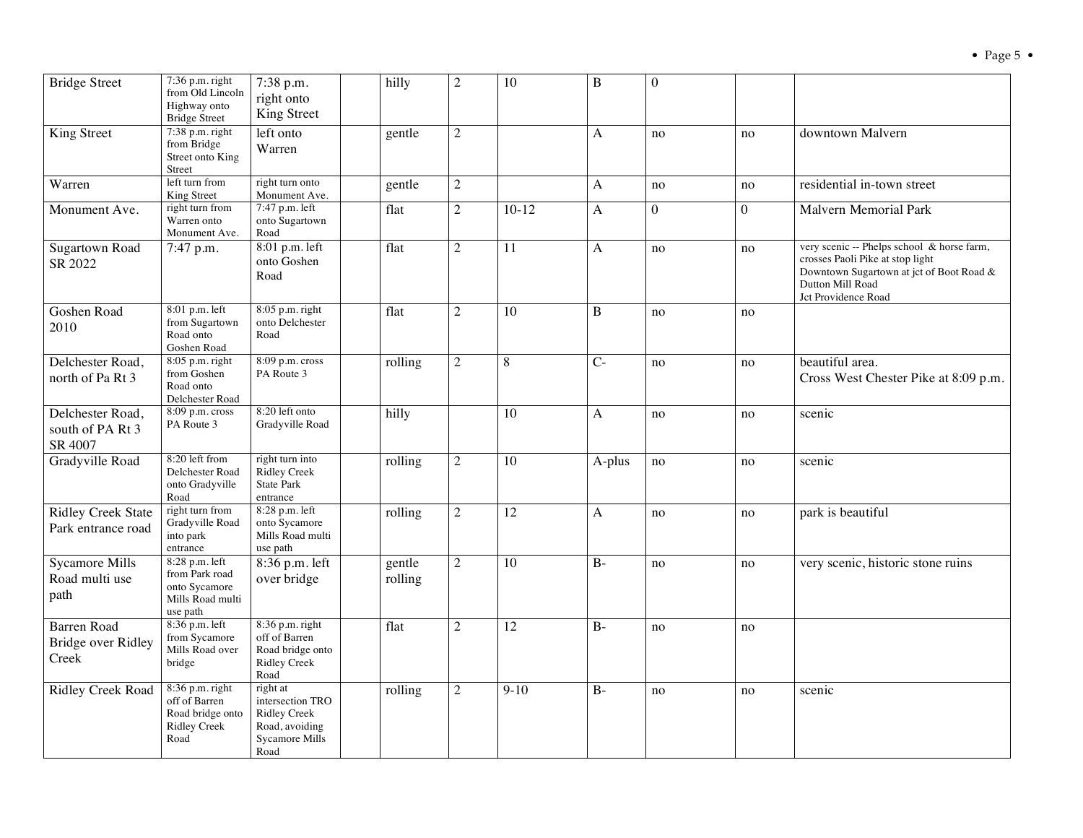| <b>Bridge Street</b>                              | 7:36 p.m. right<br>from Old Lincoln<br>Highway onto<br><b>Bridge Street</b>           | 7:38 p.m.<br>right onto<br>King Street                                                  | hilly             | $\overline{2}$ | 10       | $\, {\bf B}$   | $\Omega$ |          |                                                                                                                                                                       |
|---------------------------------------------------|---------------------------------------------------------------------------------------|-----------------------------------------------------------------------------------------|-------------------|----------------|----------|----------------|----------|----------|-----------------------------------------------------------------------------------------------------------------------------------------------------------------------|
| King Street                                       | 7:38 p.m. right<br>from Bridge<br>Street onto King<br>Street                          | left onto<br>Warren                                                                     | gentle            | $\overline{2}$ |          | $\mathbf{A}$   | no       | no       | downtown Malvern                                                                                                                                                      |
| Warren                                            | left turn from<br><b>King Street</b>                                                  | right turn onto<br>Monument Ave.                                                        | gentle            | $\overline{c}$ |          | $\mathbf{A}$   | no       | no       | residential in-town street                                                                                                                                            |
| Monument Ave.                                     | right turn from<br>Warren onto<br>Monument Ave.                                       | 7:47 p.m. left<br>onto Sugartown<br>Road                                                | flat              | $\overline{2}$ | $10-12$  | $\mathbf{A}$   | $\theta$ | $\theta$ | <b>Malvern Memorial Park</b>                                                                                                                                          |
| <b>Sugartown Road</b><br>SR 2022                  | 7:47 p.m.                                                                             | 8:01 p.m. left<br>onto Goshen<br>Road                                                   | flat              | $\overline{2}$ | 11       | $\mathbf{A}$   | no       | no       | very scenic -- Phelps school & horse farm,<br>crosses Paoli Pike at stop light<br>Downtown Sugartown at jct of Boot Road &<br>Dutton Mill Road<br>Jct Providence Road |
| Goshen Road<br>2010                               | 8:01 p.m. left<br>from Sugartown<br>Road onto<br>Goshen Road                          | 8:05 p.m. right<br>onto Delchester<br>Road                                              | flat              | $\overline{c}$ | 10       | $\mathbf B$    | no       | no       |                                                                                                                                                                       |
| Delchester Road,<br>north of Pa Rt 3              | 8:05 p.m. right<br>from Goshen<br>Road onto<br>Delchester Road                        | 8:09 p.m. cross<br>PA Route 3                                                           | rolling           | $\overline{2}$ | $\,8\,$  | $\overline{C}$ | no       | no       | beautiful area.<br>Cross West Chester Pike at 8:09 p.m.                                                                                                               |
| Delchester Road,<br>south of PA Rt 3<br>SR 4007   | 8:09 p.m. cross<br>PA Route 3                                                         | 8:20 left onto<br>Gradyville Road                                                       | hilly             |                | 10       | $\mathbf{A}$   | no       | no       | scenic                                                                                                                                                                |
| Gradyville Road                                   | 8:20 left from<br>Delchester Road<br>onto Gradyville<br>Road                          | right turn into<br><b>Ridley Creek</b><br><b>State Park</b><br>entrance                 | rolling           | $\overline{2}$ | 10       | A-plus         | no       | no       | scenic                                                                                                                                                                |
| <b>Ridley Creek State</b><br>Park entrance road   | right turn from<br>Gradyville Road<br>into park<br>entrance                           | 8:28 p.m. left<br>onto Sycamore<br>Mills Road multi<br>use path                         | rolling           | $\overline{2}$ | 12       | A              | no       | no       | park is beautiful                                                                                                                                                     |
| <b>Sycamore Mills</b><br>Road multi use<br>path   | 8:28 p.m. left<br>from Park road<br>onto Sycamore<br>Mills Road multi<br>use path     | 8:36 p.m. left<br>over bridge                                                           | gentle<br>rolling | $\overline{2}$ | 10       | $B-$           | no       | no       | very scenic, historic stone ruins                                                                                                                                     |
| <b>Barren</b> Road<br>Bridge over Ridley<br>Creek | 8:36 p.m. left<br>from Sycamore<br>Mills Road over<br>bridge                          | 8:36 p.m. right<br>off of Barren<br>Road bridge onto<br><b>Ridley Creek</b><br>Road     | flat              | $\overline{2}$ | 12       | $B-$           | no       | no       |                                                                                                                                                                       |
| Ridley Creek Road                                 | $8:36$ p.m. right<br>off of Barren<br>Road bridge onto<br><b>Ridley Creek</b><br>Road | right at<br>intersection TRO<br><b>Ridley Creek</b><br>Road, avoiding<br>Sycamore Mills | rolling           | $\overline{2}$ | $9 - 10$ | $B-$           | no       | no       | scenic                                                                                                                                                                |

Road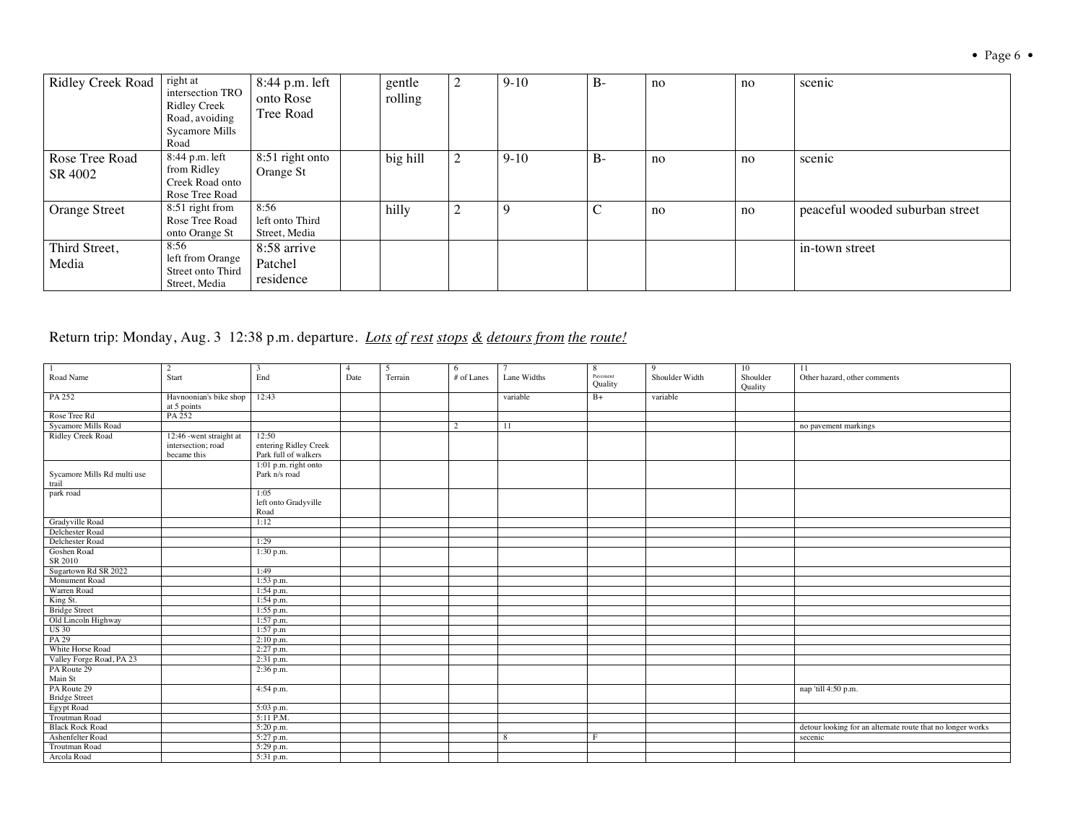| <b>Ridley Creek Road</b>  | right at<br>intersection TRO<br><b>Ridley Creek</b><br>Road, avoiding<br>Sycamore Mills<br>Road | 8:44 p.m. left<br>onto Rose<br>Tree Road | gentle<br>rolling | 2      | $9 - 10$ | $B -$ | no | no | scenic                          |
|---------------------------|-------------------------------------------------------------------------------------------------|------------------------------------------|-------------------|--------|----------|-------|----|----|---------------------------------|
| Rose Tree Road<br>SR 4002 | 8:44 p.m. left<br>from Ridley<br>Creek Road onto<br>Rose Tree Road                              | 8:51 right onto<br>Orange St             | big hill          | 2      | $9 - 10$ | $B-$  | no | no | scenic                          |
| <b>Orange Street</b>      | 8:51 right from<br>Rose Tree Road<br>onto Orange St                                             | 8:56<br>left onto Third<br>Street, Media | hilly             | ↑<br>∠ | 9        | ◡     | no | no | peaceful wooded suburban street |
| Third Street,<br>Media    | 8:56<br>left from Orange<br>Street onto Third<br>Street, Media                                  | 8:58 arrive<br>Patchel<br>residence      |                   |        |          |       |    |    | in-town street                  |

Return trip: Monday, Aug. 3 12:38 p.m. departure. *Lots of rest stops & detours from the route!*

| -1                          | $\overline{c}$          | 3                     | $\overline{4}$ | -5      | 6              | $\overline{7}$ | 8        | 9              | 10       | 11                                                         |
|-----------------------------|-------------------------|-----------------------|----------------|---------|----------------|----------------|----------|----------------|----------|------------------------------------------------------------|
| Road Name                   | Start                   | End                   | Date           | Terrain | # of Lanes     | Lane Widths    | Pavement | Shoulder Width | Shoulder | Other hazard, other comments                               |
|                             |                         |                       |                |         |                |                | Quality  |                | Quality  |                                                            |
| PA 252                      | Havnoonian's bike shop  | 12:43                 |                |         |                | variable       | $B+$     | variable       |          |                                                            |
|                             | at 5 points             |                       |                |         |                |                |          |                |          |                                                            |
| Rose Tree Rd                | PA 252                  |                       |                |         |                |                |          |                |          |                                                            |
| Sycamore Mills Road         |                         |                       |                |         | $\overline{2}$ | 11             |          |                |          | no pavement markings                                       |
| Ridley Creek Road           | 12:46 -went straight at | 12:50                 |                |         |                |                |          |                |          |                                                            |
|                             | intersection; road      | entering Ridley Creek |                |         |                |                |          |                |          |                                                            |
|                             | became this             | Park full of walkers  |                |         |                |                |          |                |          |                                                            |
|                             |                         | 1:01 p.m. right onto  |                |         |                |                |          |                |          |                                                            |
| Sycamore Mills Rd multi use |                         | Park n/s road         |                |         |                |                |          |                |          |                                                            |
| trail                       |                         |                       |                |         |                |                |          |                |          |                                                            |
| park road                   |                         | 1:05                  |                |         |                |                |          |                |          |                                                            |
|                             |                         | left onto Gradyville  |                |         |                |                |          |                |          |                                                            |
|                             |                         | Road                  |                |         |                |                |          |                |          |                                                            |
| Gradyville Road             |                         | 1:12                  |                |         |                |                |          |                |          |                                                            |
| Delchester Road             |                         |                       |                |         |                |                |          |                |          |                                                            |
| Delchester Road             |                         | 1:29                  |                |         |                |                |          |                |          |                                                            |
| Goshen Road                 |                         | 1:30 p.m.             |                |         |                |                |          |                |          |                                                            |
| SR 2010                     |                         |                       |                |         |                |                |          |                |          |                                                            |
| Sugartown Rd SR 2022        |                         | 1:49                  |                |         |                |                |          |                |          |                                                            |
| Monument Road               |                         | 1:53 p.m.             |                |         |                |                |          |                |          |                                                            |
| Warren Road                 |                         | 1:54 p.m.             |                |         |                |                |          |                |          |                                                            |
| King St.                    |                         | 1:54 p.m.             |                |         |                |                |          |                |          |                                                            |
| <b>Bridge Street</b>        |                         | 1:55 p.m.             |                |         |                |                |          |                |          |                                                            |
| Old Lincoln Highway         |                         | $1:57$ p.m.           |                |         |                |                |          |                |          |                                                            |
| <b>US 30</b>                |                         | 1:57 p.m              |                |         |                |                |          |                |          |                                                            |
| PA 29                       |                         | $2:10$ p.m.           |                |         |                |                |          |                |          |                                                            |
| White Horse Road            |                         | 2:27 p.m.             |                |         |                |                |          |                |          |                                                            |
| Valley Forge Road, PA 23    |                         | 2:31 p.m.             |                |         |                |                |          |                |          |                                                            |
| PA Route 29                 |                         | 2:36 p.m.             |                |         |                |                |          |                |          |                                                            |
| Main St                     |                         |                       |                |         |                |                |          |                |          |                                                            |
| PA Route 29                 |                         | 4:54 p.m.             |                |         |                |                |          |                |          | nap 'till 4:50 p.m.                                        |
| <b>Bridge Street</b>        |                         |                       |                |         |                |                |          |                |          |                                                            |
| <b>Egypt Road</b>           |                         | 5:03 p.m.             |                |         |                |                |          |                |          |                                                            |
| Troutman Road               |                         | $5:11$ P.M.           |                |         |                |                |          |                |          |                                                            |
| <b>Black Rock Road</b>      |                         | 5:20 p.m.             |                |         |                |                |          |                |          | detour looking for an alternate route that no longer works |
| Ashenfelter Road            |                         | 5:27 p.m.             |                |         |                | 8              | E        |                |          | secenic                                                    |
| <b>Troutman Road</b>        |                         | 5:29 p.m.             |                |         |                |                |          |                |          |                                                            |
| Arcola Road                 |                         | 5:31 p.m.             |                |         |                |                |          |                |          |                                                            |